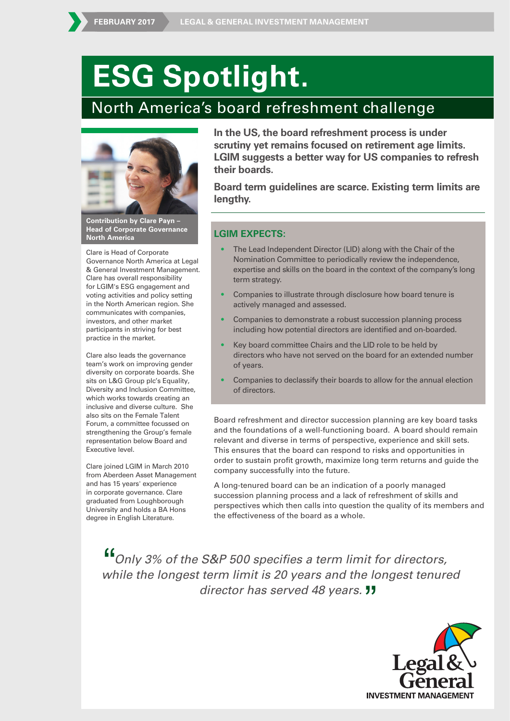# **ESG Spotlight.**

## North America's board refreshment challenge



**Contribution by Clare Payn – Head of Corporate Governance North America**

Clare is Head of Corporate Governance North America at Legal & General Investment Management. Clare has overall responsibility for LGIM's ESG engagement and voting activities and policy setting in the North American region. She communicates with companies, investors, and other market participants in striving for best practice in the market.

Clare also leads the governance team's work on improving gender diversity on corporate boards. She sits on L&G Group plc's Equality, Diversity and Inclusion Committee, which works towards creating an inclusive and diverse culture. She also sits on the Female Talent Forum, a committee focussed on strengthening the Group's female representation below Board and Executive level.

Clare joined LGIM in March 2010 from Aberdeen Asset Management and has 15 years' experience in corporate governance. Clare graduated from Loughborough University and holds a BA Hons degree in English Literature.

**In the US, the board refreshment process is under scrutiny yet remains focused on retirement age limits. LGIM suggests a better way for US companies to refresh their boards.**

**Board term guidelines are scarce. Existing term limits are lengthy.** 

#### **LGIM EXPECTS:**

- The Lead Independent Director (LID) along with the Chair of the Nomination Committee to periodically review the independence, expertise and skills on the board in the context of the company's long term strategy.
- Companies to illustrate through disclosure how board tenure is actively managed and assessed.
- Companies to demonstrate a robust succession planning process including how potential directors are identified and on-boarded.
- Key board committee Chairs and the LID role to be held by directors who have not served on the board for an extended number of years.
- Companies to declassify their boards to allow for the annual election of directors.

Board refreshment and director succession planning are key board tasks and the foundations of a well-functioning board. A board should remain relevant and diverse in terms of perspective, experience and skill sets. This ensures that the board can respond to risks and opportunities in order to sustain profit growth, maximize long term returns and guide the company successfully into the future.

A long-tenured board can be an indication of a poorly managed succession planning process and a lack of refreshment of skills and perspectives which then calls into question the quality of its members and the effectiveness of the board as a whole.

Only 3% of the S&P 500 specifies a term limit for directors, while the longest term limit is 20 years and the longest tenured<br>director has served 48 years. **11** "<br>"<br>"

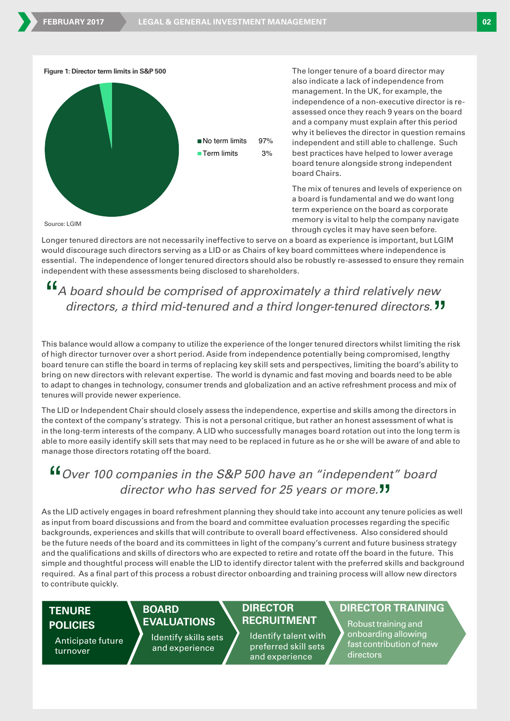

The longer tenure of a board director may also indicate a lack of independence from management. In the UK, for example, the independence of a non-executive director is reassessed once they reach 9 years on the board and a company must explain after this period why it believes the director in question remains independent and still able to challenge. Such best practices have helped to lower average board tenure alongside strong independent board Chairs.

The mix of tenures and levels of experience on a board is fundamental and we do want long term experience on the board as corporate memory is vital to help the company navigate through cycles it may have seen before.

Longer tenured directors are not necessarily ineffective to serve on a board as experience is important, but LGIM would discourage such directors serving as a LID or as Chairs of key board committees where independence is essential. The independence of longer tenured directors should also be robustly re-assessed to ensure they remain independent with these assessments being disclosed to shareholders.

# A board should be comprised of approximately a third relatively new " " directors, a third mid-tenured and a third longer-tenured directors.  $JJ$

This balance would allow a company to utilize the experience of the longer tenured directors whilst limiting the risk of high director turnover over a short period. Aside from independence potentially being compromised, lengthy board tenure can stifle the board in terms of replacing key skill sets and perspectives, limiting the board's ability to bring on new directors with relevant expertise. The world is dynamic and fast moving and boards need to be able to adapt to changes in technology, consumer trends and globalization and an active refreshment process and mix of tenures will provide newer experience.

The LID or Independent Chair should closely assess the independence, expertise and skills among the directors in the context of the company's strategy. This is not a personal critique, but rather an honest assessment of what is in the long-term interests of the company. A LID who successfully manages board rotation out into the long term is able to more easily identify skill sets that may need to be replaced in future as he or she will be aware of and able to manage those directors rotating off the board.

# Over 100 companies in the S&P 500 have an "independent" board " " director who has served for 25 years or more.<sup>11</sup>

As the LID actively engages in board refreshment planning they should take into account any tenure policies as well as input from board discussions and from the board and committee evaluation processes regarding the specific backgrounds, experiences and skills that will contribute to overall board effectiveness. Also considered should be the future needs of the board and its committees in light of the company's current and future business strategy and the qualifications and skills of directors who are expected to retire and rotate off the board in the future. This simple and thoughtful process will enable the LID to identify director talent with the preferred skills and background required. As a final part of this process a robust director onboarding and training process will allow new directors to contribute quickly.

## **TENURE POLICIES**

Anticipate future turnover

**BOARD** 

**EVALUATIONS**

Identify skills sets and experience

## **DIRECTOR RECRUITMENT**

Identify talent with preferred skill sets and experience

### **DIRECTOR TRAINING**

Robusttraining and onboarding allowing fast contribution of new directors